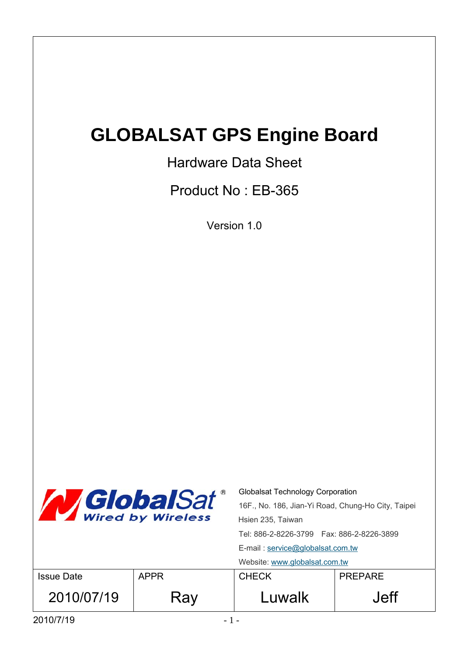# **GLOBALSAT GPS Engine Board**

## Hardware Data Sheet

Product No : EB-365

Version 1.0

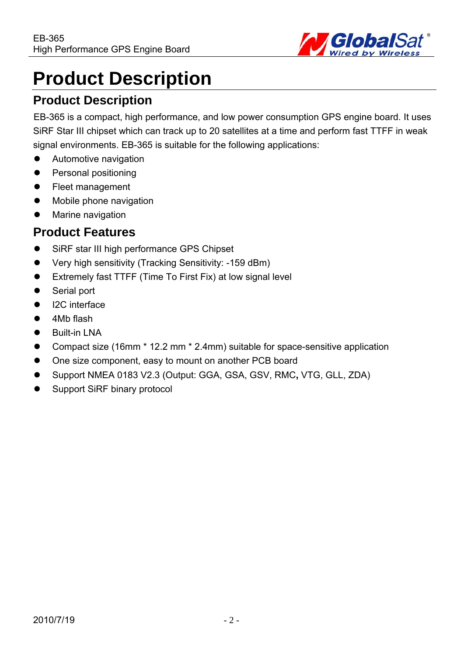

# **Product Description**

## **Product Description**

EB-365 is a compact, high performance, and low power consumption GPS engine board. It uses SiRF Star III chipset which can track up to 20 satellites at a time and perform fast TTFF in weak signal environments. EB-365 is suitable for the following applications:

- Automotive navigation
- Personal positioning
- Fleet management
- Mobile phone navigation
- Marine navigation

#### **Product Features**

- SiRF star III high performance GPS Chipset
- Very high sensitivity (Tracking Sensitivity: -159 dBm)
- Extremely fast TTFF (Time To First Fix) at low signal level
- Serial port
- I2C interface
- 4Mb flash
- **Built-in LNA**
- z Compact size (16mm \* 12.2 mm \* 2.4mm) suitable for space-sensitive application
- One size component, easy to mount on another PCB board
- z Support NMEA 0183 V2.3 (Output: GGA, GSA, GSV, RMC**,** VTG, GLL, ZDA)
- Support SiRF binary protocol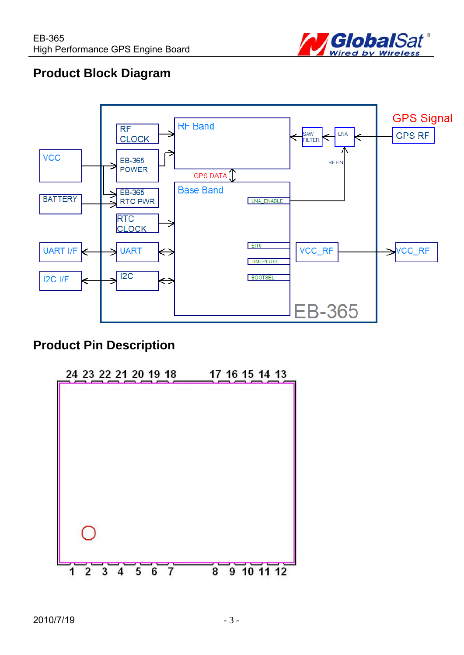

## **Product Block Diagram**



## **Product Pin Description**

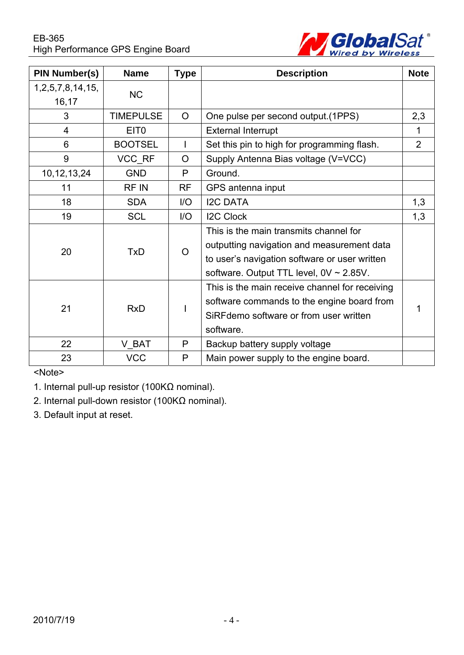

| <b>PIN Number(s)</b> | <b>Name</b>      | <b>Type</b>  | <b>Description</b>                             | <b>Note</b> |
|----------------------|------------------|--------------|------------------------------------------------|-------------|
| 1,2,5,7,8,14,15,     | <b>NC</b>        |              |                                                |             |
| 16,17                |                  |              |                                                |             |
| 3                    | <b>TIMEPULSE</b> | $\circ$      | One pulse per second output. (1PPS)            | 2,3         |
| $\overline{4}$       | EIT <sub>0</sub> |              | <b>External Interrupt</b>                      | 1           |
| 6                    | <b>BOOTSEL</b>   | $\mathbf{I}$ | Set this pin to high for programming flash.    | 2           |
| 9                    | VCC RF           | $\circ$      | Supply Antenna Bias voltage (V=VCC)            |             |
| 10, 12, 13, 24       | <b>GND</b>       | P            | Ground.                                        |             |
| 11                   | RF IN            | <b>RF</b>    | GPS antenna input                              |             |
| 18                   | <b>SDA</b>       | 1/O          | <b>I2C DATA</b>                                | 1,3         |
| 19                   | <b>SCL</b>       | 1/O          | <b>I2C Clock</b>                               | 1,3         |
|                      |                  |              | This is the main transmits channel for         |             |
| 20                   | <b>TxD</b>       | $\Omega$     | outputting navigation and measurement data     |             |
|                      |                  |              | to user's navigation software or user written  |             |
|                      |                  |              | software. Output TTL level, $0V \sim 2.85V$ .  |             |
|                      |                  |              | This is the main receive channel for receiving |             |
| 21                   | <b>RxD</b>       |              | software commands to the engine board from     | 1           |
|                      |                  |              | SiRFdemo software or from user written         |             |
|                      |                  |              | software.                                      |             |
| 22                   | V BAT            | P            | Backup battery supply voltage                  |             |
| 23                   | <b>VCC</b>       | P            | Main power supply to the engine board.         |             |

<Note>

1. Internal pull-up resistor (100KΩ nominal).

2. Internal pull-down resistor (100KΩ nominal).

3. Default input at reset.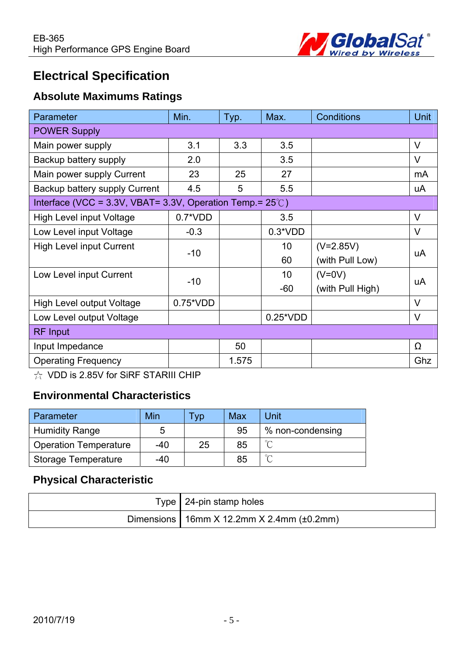

## **Electrical Specification**

#### **Absolute Maximums Ratings**

| Parameter                                                           | Min.              | Typ.  | Max.            | <b>Conditions</b> | Unit   |
|---------------------------------------------------------------------|-------------------|-------|-----------------|-------------------|--------|
| <b>POWER Supply</b>                                                 |                   |       |                 |                   |        |
| Main power supply                                                   | 3.1               | 3.3   | 3.5             |                   | $\vee$ |
| Backup battery supply                                               | 2.0               |       | 3.5             |                   | $\vee$ |
| Main power supply Current                                           | 23                | 25    | 27              |                   | mA     |
| Backup battery supply Current                                       | 4.5               | 5     | 5.5             |                   | uA     |
| Interface (VCC = 3.3V, VBAT= 3.3V, Operation Temp.= $25^{\circ}$ C) |                   |       |                 |                   |        |
| <b>High Level input Voltage</b>                                     | $0.7*VDD$         |       | 3.5             |                   | $\vee$ |
| Low Level input Voltage                                             | $-0.3$            |       | $0.3*VDD$       |                   | $\vee$ |
| <b>High Level input Current</b>                                     | $-10$             |       | 10              | $(V=2.85V)$       | uA     |
|                                                                     |                   |       | 60              | (with Pull Low)   |        |
| Low Level input Current                                             | $-10$             |       | 10 <sup>°</sup> | $(V=0V)$          | uA     |
|                                                                     |                   |       | $-60$           | (with Pull High)  |        |
| <b>High Level output Voltage</b>                                    | $0.75^{\ast}$ VDD |       |                 |                   | $\vee$ |
| Low Level output Voltage                                            |                   |       | $0.25^*VDD$     |                   | V      |
| <b>RF</b> Input                                                     |                   |       |                 |                   |        |
| Input Impedance                                                     |                   | 50    |                 |                   | Ω      |
| <b>Operating Frequency</b>                                          |                   | 1.575 |                 |                   | Ghz    |

☆ VDD is 2.85V for SiRF STARIII CHIP

## **Environmental Characteristics**

| Parameter                    | Min | <b>VD</b> | <b>Max</b> | Unit             |
|------------------------------|-----|-----------|------------|------------------|
| <b>Humidity Range</b>        | ხ   |           | 95         | % non-condensing |
| <b>Operation Temperature</b> | -40 | 25        | 85         | $\sim$           |
| <b>Storage Temperature</b>   | -40 |           | 85         | $\sim$           |

#### **Physical Characteristic**

| Type   24-pin stamp holes                             |
|-------------------------------------------------------|
| Dimensions   16mm $X$ 12.2mm $X$ 2.4mm ( $\pm$ 0.2mm) |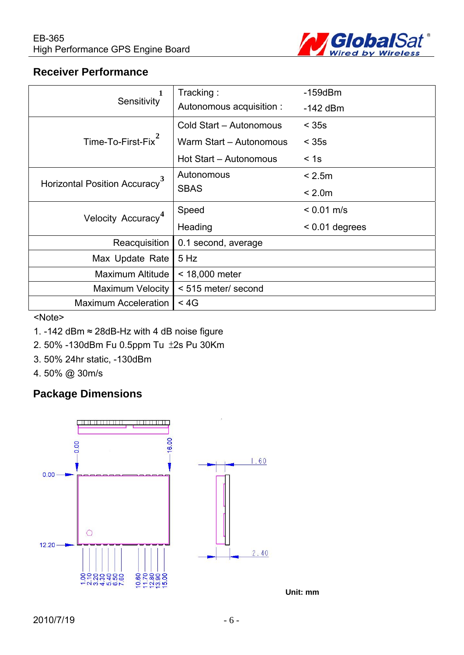

#### **Receiver Performance**

|                                           | Tracking:                | $-159$ d $Bm$    |  |
|-------------------------------------------|--------------------------|------------------|--|
| Sensitivity                               | Autonomous acquisition : | $-142$ dBm       |  |
|                                           | Cold Start - Autonomous  | $<$ 35s          |  |
| Time-To-First-Fix <sup>2</sup>            | Warm Start - Autonomous  | $<$ 35s          |  |
|                                           | Hot Start - Autonomous   | < 1s             |  |
| Horizontal Position Accuracy <sup>3</sup> | Autonomous               | < 2.5m           |  |
|                                           | <b>SBAS</b>              | < 2.0m           |  |
| Velocity Accuracy <sup>4</sup>            | Speed                    | $< 0.01$ m/s     |  |
|                                           | Heading                  | $< 0.01$ degrees |  |
| Reacquisition                             | 0.1 second, average      |                  |  |
| Max Update Rate                           | $5$ Hz                   |                  |  |
| Maximum Altitude                          | < 18,000 meter           |                  |  |
| <b>Maximum Velocity</b>                   | < 515 meter/ second      |                  |  |
| <b>Maximum Acceleration</b>               | $<$ 4G                   |                  |  |

<Note>

- 1. -142 dBm ≈ 28dB-Hz with 4 dB noise figure
- 2. 50% -130dBm Fu 0.5ppm Tu ±2s Pu 30Km
- 3. 50% 24hr static, -130dBm
- 4. 50% @ 30m/s

#### **Package Dimensions**



**Unit: mm**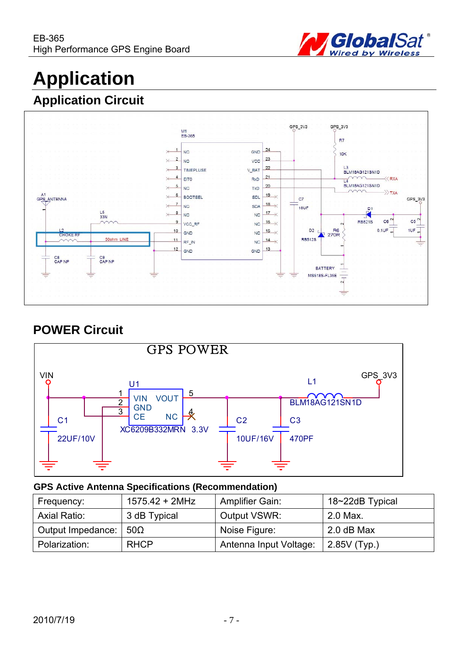

# **Application**

## **Application Circuit**



## **POWER Circuit**



#### **GPS Active Antenna Specifications (Recommendation)**

| Frequency:        | 1575.42 + 2MHz | <b>Amplifier Gain:</b> | 18~22dB Typical |
|-------------------|----------------|------------------------|-----------------|
| Axial Ratio:      | 3 dB Typical   | Output VSWR:           | 2.0 Max.        |
| Output Impedance: | 50 $\Omega$    | Noise Figure:          | 2.0 dB Max      |
| Polarization:     | <b>RHCP</b>    | Antenna Input Voltage: | $2.85V$ (Typ.)  |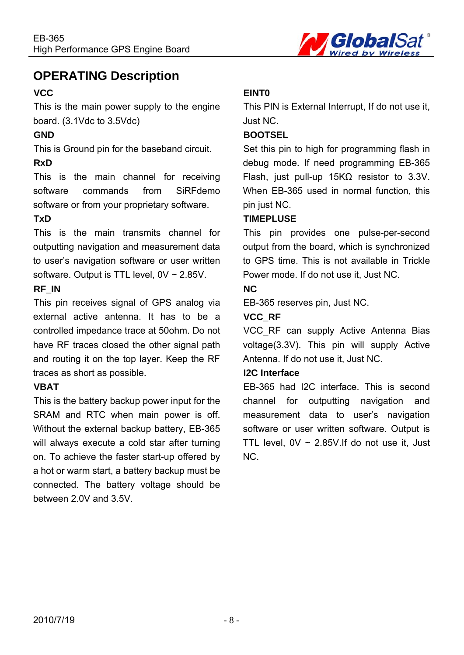

## **OPERATING Description**

#### **VCC**

This is the main power supply to the engine board. (3.1Vdc to 3.5Vdc)

#### **GND**

This is Ground pin for the baseband circuit.

#### **RxD**

This is the main channel for receiving software commands from SiRFdemo software or from your proprietary software.

#### **TxD**

This is the main transmits channel for outputting navigation and measurement data to user's navigation software or user written software. Output is TTL level, 0V ~ 2.85V.

#### **RF\_IN**

This pin receives signal of GPS analog via external active antenna. It has to be a controlled impedance trace at 50ohm. Do not have RF traces closed the other signal path and routing it on the top layer. Keep the RF traces as short as possible.

#### **VBAT**

This is the battery backup power input for the SRAM and RTC when main power is off. Without the external backup battery, EB-365 will always execute a cold star after turning on. To achieve the faster start-up offered by a hot or warm start, a battery backup must be connected. The battery voltage should be between 2.0V and 3.5V.

#### **EINT0**

This PIN is External Interrupt, If do not use it, Just NC.

#### **BOOTSEL**

Set this pin to high for programming flash in debug mode. If need programming EB-365 Flash, just pull-up 15KΩ resistor to 3.3V. When EB-365 used in normal function, this pin just NC.

#### **TIMEPLUSE**

This pin provides one pulse-per-second output from the board, which is synchronized to GPS time. This is not available in Trickle Power mode. If do not use it, Just NC.

#### **NC**

EB-365 reserves pin, Just NC.

#### **VCC\_RF**

VCC RF can supply Active Antenna Bias voltage(3.3V). This pin will supply Active Antenna. If do not use it, Just NC.

#### **I2C Interface**

EB-365 had I2C interface. This is second channel for outputting navigation and measurement data to user's navigation software or user written software. Output is TTL level,  $0V \sim 2.85V$ . If do not use it, Just NC.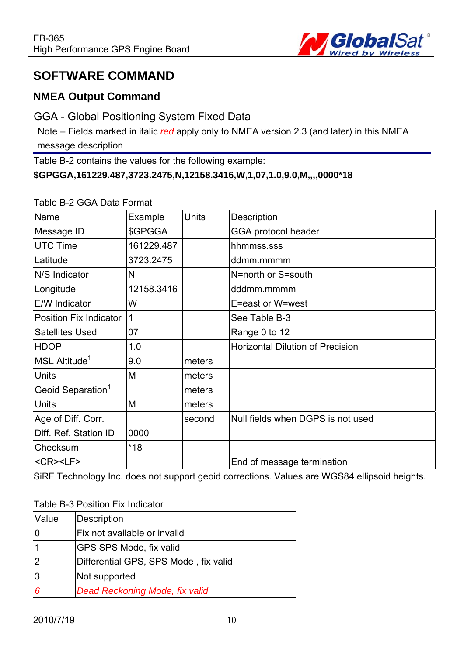

## **SOFTWARE COMMAND**

#### **NMEA Output Command**

#### GGA - Global Positioning System Fixed Data

Note – Fields marked in italic *red* apply only to NMEA version 2.3 (and later) in this NMEA message description

Table B-2 contains the values for the following example:

#### **\$GPGGA,161229.487,3723.2475,N,12158.3416,W,1,07,1.0,9.0,M,,,,0000\*18**

#### Table B-2 GGA Data Format

| Name                          | Example    | <b>Units</b> | Description                             |
|-------------------------------|------------|--------------|-----------------------------------------|
| Message ID                    | \$GPGGA    |              | <b>GGA protocol header</b>              |
| <b>UTC Time</b>               | 161229.487 |              | hhmmss.sss                              |
| Latitude                      | 3723.2475  |              | ddmm.mmmm                               |
| N/S Indicator                 | N          |              | N=north or S=south                      |
| Longitude                     | 12158.3416 |              | dddmm.mmmm                              |
| E/W Indicator                 | W          |              | E=east or W=west                        |
| Position Fix Indicator        |            |              | See Table B-3                           |
| <b>Satellites Used</b>        | 07         |              | Range 0 to 12                           |
| <b>HDOP</b>                   | 1.0        |              | <b>Horizontal Dilution of Precision</b> |
| MSL Altitude <sup>1</sup>     | 9.0        | meters       |                                         |
| <b>Units</b>                  | M          | meters       |                                         |
| Geoid Separation <sup>1</sup> |            | meters       |                                         |
| <b>Units</b>                  | M          | meters       |                                         |
| Age of Diff. Corr.            |            | second       | Null fields when DGPS is not used       |
| Diff. Ref. Station ID         | 0000       |              |                                         |
| Checksum                      | $*18$      |              |                                         |
| <cr><lf></lf></cr>            |            |              | End of message termination              |

SiRF Technology Inc. does not support geoid corrections. Values are WGS84 ellipsoid heights.

#### Table B-3 Position Fix Indicator

| Value | Description                           |
|-------|---------------------------------------|
|       | Fix not available or invalid          |
|       | GPS SPS Mode, fix valid               |
|       | Differential GPS, SPS Mode, fix valid |
| 3     | Not supported                         |
| 6     | Dead Reckoning Mode, fix valid        |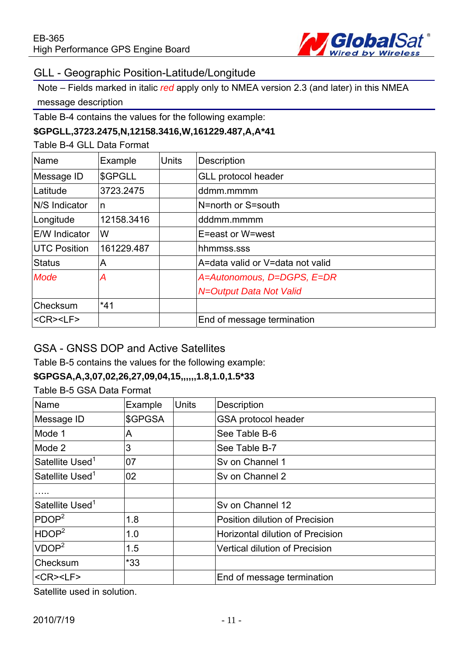

#### GLL - Geographic Position-Latitude/Longitude

Note – Fields marked in italic *red* apply only to NMEA version 2.3 (and later) in this NMEA message description

Table B-4 contains the values for the following example:

#### **\$GPGLL,3723.2475,N,12158.3416,W,161229.487,A,A\*41**

Table B-4 GLL Data Format

| Name                               | Example    | <b>Units</b> | <b>Description</b>               |
|------------------------------------|------------|--------------|----------------------------------|
| Message ID                         | \$GPGLL    |              | <b>GLL protocol header</b>       |
| Latitude                           | 3723.2475  |              | ddmm.mmmm                        |
| <b>N/S</b> Indicator               | n          |              | N=north or S=south               |
| Longitude                          | 12158.3416 |              | dddmm.mmmm                       |
| <b>E/W</b> Indicator               | W          |              | E=east or W=west                 |
| <b>UTC Position</b>                | 161229.487 |              | hhmmss.sss                       |
| <b>Status</b>                      | A          |              | A=data valid or V=data not valid |
| Mode                               | А          |              | A=Autonomous, D=DGPS, E=DR       |
|                                    |            |              | N=Output Data Not Valid          |
| Checksum                           | $*41$      |              |                                  |
| $<$ CR $>$ <lf<math>&gt;</lf<math> |            |              | End of message termination       |

#### GSA - GNSS DOP and Active Satellites

Table B-5 contains the values for the following example:

#### **\$GPGSA,A,3,07,02,26,27,09,04,15,,,,,,1.8,1.0,1.5\*33**

Table B-5 GSA Data Format

| Name                        | Example | <b>Units</b> | <b>Description</b>               |
|-----------------------------|---------|--------------|----------------------------------|
| Message ID                  | \$GPGSA |              | GSA protocol header              |
| Mode 1                      | A       |              | See Table B-6                    |
| Mode 2                      | 3       |              | See Table B-7                    |
| Satellite Used <sup>1</sup> | 07      |              | Sv on Channel 1                  |
| Satellite Used <sup>1</sup> | 02      |              | Sv on Channel 2                  |
|                             |         |              |                                  |
| Satellite Used <sup>1</sup> |         |              | Sv on Channel 12                 |
| PDOP <sup>2</sup>           | 1.8     |              | Position dilution of Precision   |
| HDOP <sup>2</sup>           | 1.0     |              | Horizontal dilution of Precision |
| VDOP <sup>2</sup>           | 1.5     |              | Vertical dilution of Precision   |
| Checksum                    | $*33$   |              |                                  |
| <cr><lf></lf></cr>          |         |              | End of message termination       |

Satellite used in solution.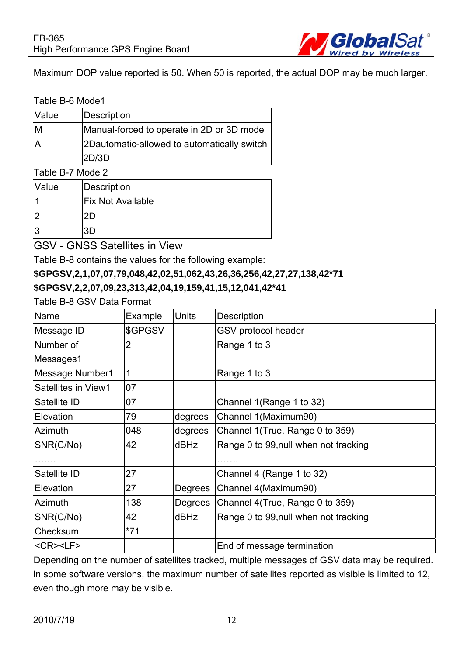

Maximum DOP value reported is 50. When 50 is reported, the actual DOP may be much larger.

#### Table B-6 Mode1

| Value | Description                                  |
|-------|----------------------------------------------|
| ΙM    | Manual-forced to operate in 2D or 3D mode    |
| IA    | 2D automatic-allowed to automatically switch |
|       | 2D/3D                                        |

#### Table B-7 Mode 2

| Value | Description              |
|-------|--------------------------|
|       | <b>Fix Not Available</b> |
| c     |                          |
| ാ     |                          |

GSV - GNSS Satellites in View

Table B-8 contains the values for the following example:

#### **\$GPGSV,2,1,07,07,79,048,42,02,51,062,43,26,36,256,42,27,27,138,42\*71 \$GPGSV,2,2,07,09,23,313,42,04,19,159,41,15,12,041,42\*41**

Table B-8 GSV Data Format

| Name                               | Example        | <b>Units</b> | Description                           |
|------------------------------------|----------------|--------------|---------------------------------------|
| Message ID                         | \$GPGSV        |              | GSV protocol header                   |
| Number of                          | $\overline{2}$ |              | Range 1 to 3                          |
| Messages1                          |                |              |                                       |
| Message Number1                    | $\mathbf{1}$   |              | Range 1 to 3                          |
| Satellites in View1                | 07             |              |                                       |
| Satellite ID                       | 07             |              | Channel 1(Range 1 to 32)              |
| Elevation                          | 79             | degrees      | Channel 1(Maximum90)                  |
| Azimuth                            | 048            | degrees      | Channel 1(True, Range 0 to 359)       |
| SNR(C/No)                          | 42             | dBHz         | Range 0 to 99, null when not tracking |
|                                    |                |              |                                       |
| Satellite ID                       | 27             |              | Channel 4 (Range 1 to 32)             |
| Elevation                          | 27             | Degrees      | Channel 4(Maximum90)                  |
| <b>Azimuth</b>                     | 138            | Degrees      | Channel 4(True, Range 0 to 359)       |
| SNR(C/No)                          | 42             | dBHz         | Range 0 to 99, null when not tracking |
| Checksum                           | $*71$          |              |                                       |
| $<$ CR $>$ <lf<math>&gt;</lf<math> |                |              | End of message termination            |

Depending on the number of satellites tracked, multiple messages of GSV data may be required. In some software versions, the maximum number of satellites reported as visible is limited to 12, even though more may be visible.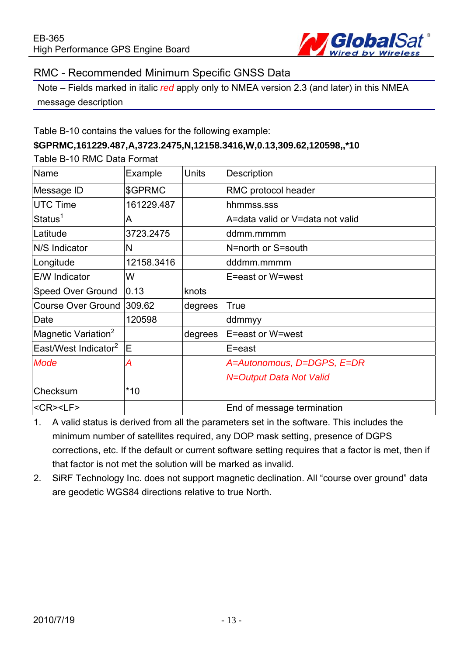

#### RMC - Recommended Minimum Specific GNSS Data

Note – Fields marked in italic *red* apply only to NMEA version 2.3 (and later) in this NMEA message description

Table B-10 contains the values for the following example:

#### **\$GPRMC,161229.487,A,3723.2475,N,12158.3416,W,0.13,309.62,120598,,\*10**

Table B-10 RMC Data Format

| Name                             | Example    | Units   | Description                      |
|----------------------------------|------------|---------|----------------------------------|
| Message ID                       | \$GPRMC    |         | RMC protocol header              |
| <b>UTC Time</b>                  | 161229.487 |         | hhmmss.sss                       |
| Status <sup>1</sup>              | A          |         | A=data valid or V=data not valid |
| Latitude                         | 3723.2475  |         | ddmm.mmmm                        |
| N/S Indicator                    | N          |         | N=north or S=south               |
| Longitude                        | 12158.3416 |         | dddmm.mmmm                       |
| <b>E/W Indicator</b>             | W          |         | E=east or W=west                 |
| <b>Speed Over Ground</b>         | 0.13       | knots   |                                  |
| <b>Course Over Ground</b>        | 309.62     | degrees | <b>True</b>                      |
| Date                             | 120598     |         | ddmmyy                           |
| Magnetic Variation <sup>2</sup>  |            | degrees | E=east or W=west                 |
| East/West Indicator <sup>2</sup> | ΙE         |         | E=east                           |
| Mode                             | А          |         | A=Autonomous, D=DGPS, E=DR       |
|                                  |            |         | N=Output Data Not Valid          |
| Checksum                         | $*10$      |         |                                  |
| <cr><lf></lf></cr>               |            |         | End of message termination       |

- 1. A valid status is derived from all the parameters set in the software. This includes the minimum number of satellites required, any DOP mask setting, presence of DGPS corrections, etc. If the default or current software setting requires that a factor is met, then if that factor is not met the solution will be marked as invalid.
- 2. SiRF Technology Inc. does not support magnetic declination. All "course over ground" data are geodetic WGS84 directions relative to true North.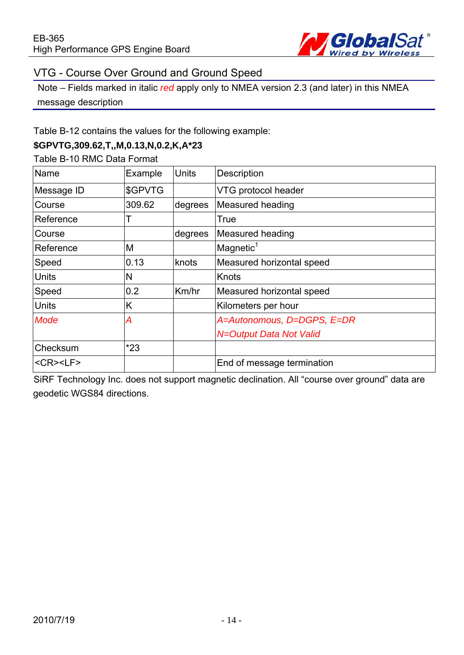

#### VTG - Course Over Ground and Ground Speed

Note – Fields marked in italic *red* apply only to NMEA version 2.3 (and later) in this NMEA message description

Table B-12 contains the values for the following example:

#### **\$GPVTG,309.62,T,,M,0.13,N,0.2,K,A\*23**

Table B-10 RMC Data Format

| Name                               | Example | <b>Units</b> | Description                |
|------------------------------------|---------|--------------|----------------------------|
| Message ID                         | \$GPVTG |              | VTG protocol header        |
| Course                             | 309.62  | degrees      | Measured heading           |
| Reference                          |         |              | <b>True</b>                |
| Course                             |         | degrees      | Measured heading           |
| Reference                          | M       |              | Magnetic <sup>1</sup>      |
| Speed                              | 0.13    | knots        | Measured horizontal speed  |
| <b>Units</b>                       | N       |              | Knots                      |
| Speed                              | 0.2     | Km/hr        | Measured horizontal speed  |
| <b>Units</b>                       | K       |              | Kilometers per hour        |
| <b>Mode</b>                        | А       |              | A=Autonomous, D=DGPS, E=DR |
|                                    |         |              | N=Output Data Not Valid    |
| Checksum                           | $*23$   |              |                            |
| $<$ CR $>$ <lf<math>&gt;</lf<math> |         |              | End of message termination |

SiRF Technology Inc. does not support magnetic declination. All "course over ground" data are geodetic WGS84 directions.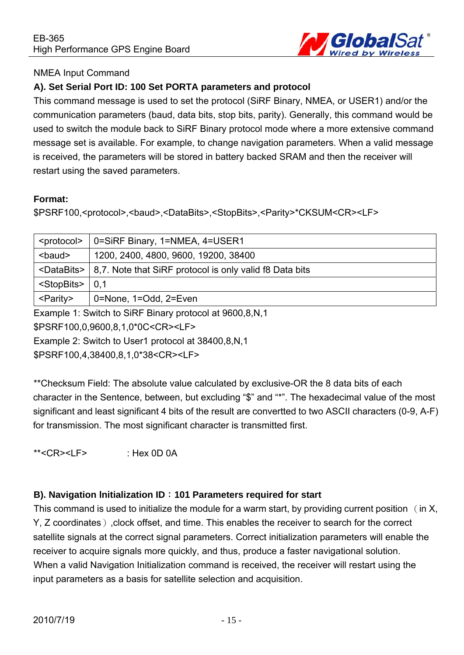

#### NMEA Input Command

#### **A). Set Serial Port ID: 100 Set PORTA parameters and protocol**

This command message is used to set the protocol (SiRF Binary, NMEA, or USER1) and/or the communication parameters (baud, data bits, stop bits, parity). Generally, this command would be used to switch the module back to SiRF Binary protocol mode where a more extensive command message set is available. For example, to change navigation parameters. When a valid message is received, the parameters will be stored in battery backed SRAM and then the receiver will restart using the saved parameters.

#### **Format:**

\$PSRF100,<protocol>,<baud>,<DataBits>,<StopBits>,<Parity>\*CKSUM<CR><LF>

| 0=SiRF Binary, 1=NMEA, 4=USER1                                                  |
|---------------------------------------------------------------------------------|
| 1200, 2400, 4800, 9600, 19200, 38400                                            |
| <databits>   8,7. Note that SiRF protocol is only valid f8 Data bits</databits> |
|                                                                                 |
| 0=None, 1=Odd, 2=Even                                                           |
|                                                                                 |

Example 1: Switch to SiRF Binary protocol at 9600,8,N,1

\$PSRF100,0,9600,8,1,0\*0C<CR><LF>

Example 2: Switch to User1 protocol at 38400,8,N,1

\$PSRF100,4,38400,8,1,0\*38<CR><LF>

\*\*Checksum Field: The absolute value calculated by exclusive-OR the 8 data bits of each character in the Sentence, between, but excluding "\$" and "\*". The hexadecimal value of the most significant and least significant 4 bits of the result are convertted to two ASCII characters (0-9, A-F) for transmission. The most significant character is transmitted first.

\*\*<CR><LF> : Hex 0D 0A

#### **B). Navigation lnitialization ID**:**101 Parameters required for start**

This command is used to initialize the module for a warm start, by providing current position (in X, Y, Z coordinates), clock offset, and time. This enables the receiver to search for the correct satellite signals at the correct signal parameters. Correct initialization parameters will enable the receiver to acquire signals more quickly, and thus, produce a faster navigational solution. When a valid Navigation Initialization command is received, the receiver will restart using the input parameters as a basis for satellite selection and acquisition.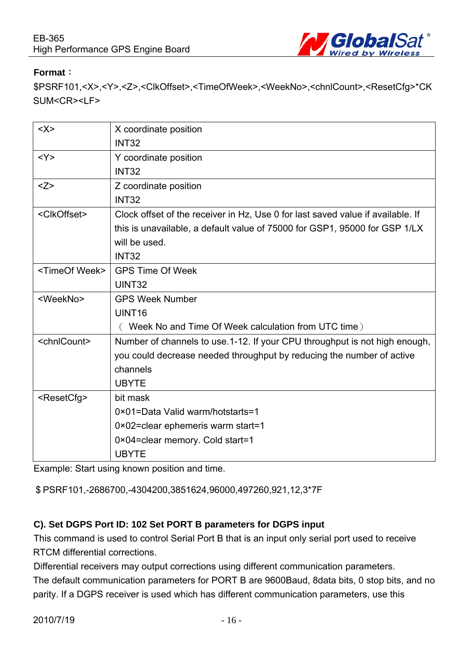

#### **Format**:

\$PSRF101,<X>,<Y>,<Z>,<ClkOffset>,<TimeOfWeek>,<WeekNo>,<chnlCount>,<ResetCfg>\*CK SUM<CR><LF>

| $<\!\!\times\!\!>$        | X coordinate position                                                           |
|---------------------------|---------------------------------------------------------------------------------|
|                           | <b>INT32</b>                                                                    |
| <y></y>                   | Y coordinate position                                                           |
|                           | <b>INT32</b>                                                                    |
| Z>                        | Z coordinate position                                                           |
|                           | <b>INT32</b>                                                                    |
| <clkoffset></clkoffset>   | Clock offset of the receiver in Hz, Use 0 for last saved value if available. If |
|                           | this is unavailable, a default value of 75000 for GSP1, 95000 for GSP 1/LX      |
|                           | will be used.                                                                   |
|                           | <b>INT32</b>                                                                    |
| <timeof week=""></timeof> | <b>GPS Time Of Week</b>                                                         |
|                           | <b>UINT32</b>                                                                   |
| <weekno></weekno>         | <b>GPS Week Number</b>                                                          |
|                           | UINT <sub>16</sub>                                                              |
|                           | ( Week No and Time Of Week calculation from UTC time)                           |
| <chnlcount></chnlcount>   | Number of channels to use 1-12. If your CPU throughput is not high enough,      |
|                           | you could decrease needed throughput by reducing the number of active           |
|                           | channels                                                                        |
|                           | <b>UBYTE</b>                                                                    |
| <resetcfg></resetcfg>     | bit mask                                                                        |
|                           | 0×01=Data Valid warm/hotstarts=1                                                |
|                           | 0×02=clear ephemeris warm start=1                                               |
|                           | 0×04=clear memory. Cold start=1                                                 |
|                           | <b>UBYTE</b>                                                                    |

Example: Start using known position and time.

\$PSRF101,-2686700,-4304200,3851624,96000,497260,921,12,3\*7F

#### **C). Set DGPS Port ID: 102 Set PORT B parameters for DGPS input**

This command is used to control Serial Port B that is an input only serial port used to receive RTCM differential corrections.

Differential receivers may output corrections using different communication parameters.

The default communication parameters for PORT B are 9600Baud, 8data bits, 0 stop bits, and no parity. If a DGPS receiver is used which has different communication parameters, use this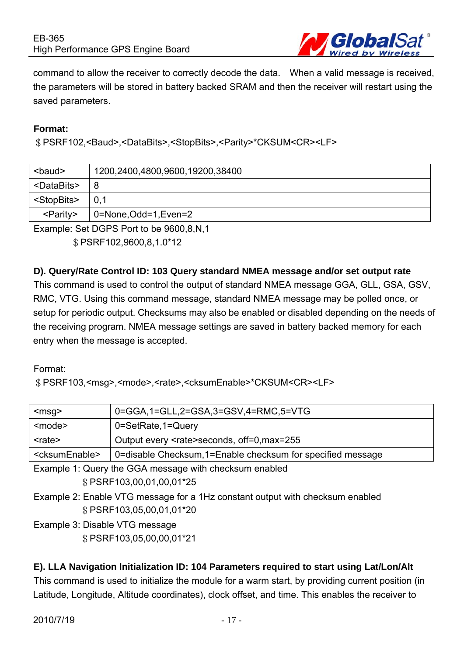

command to allow the receiver to correctly decode the data. When a valid message is received, the parameters will be stored in battery backed SRAM and then the receiver will restart using the saved parameters.

#### **Format:**

\$PSRF102,<Baud>,<DataBits>,<StopBits>,<Parity>\*CKSUM<CR><LF>

| <baud></baud>         | 1200,2400,4800,9600,19200,38400 |
|-----------------------|---------------------------------|
| <databits></databits> | 8                               |
| <stopbits></stopbits> | 0,1                             |
| <parity></parity>     | 0=None, Odd=1, Even=2           |

Example: Set DGPS Port to be 9600,8,N,1 \$PSRF102,9600,8,1.0\*12

#### **D). Query/Rate Control ID: 103 Query standard NMEA message and/or set output rate**

This command is used to control the output of standard NMEA message GGA, GLL, GSA, GSV, RMC, VTG. Using this command message, standard NMEA message may be polled once, or setup for periodic output. Checksums may also be enabled or disabled depending on the needs of the receiving program. NMEA message settings are saved in battery backed memory for each entry when the message is accepted.

#### Format:

\$PSRF103,<msg>,<mode>,<rate>,<cksumEnable>\*CKSUM<CR><LF>

| $<$ msg $>$                                            | 0=GGA,1=GLL,2=GSA,3=GSV,4=RMC,5=VTG                         |  |
|--------------------------------------------------------|-------------------------------------------------------------|--|
| <mode></mode>                                          | 0=SetRate,1=Query                                           |  |
| <rate></rate>                                          | Output every <rate>seconds, off=0, max=255</rate>           |  |
| <cksumenable></cksumenable>                            | 0=disable Checksum, 1=Enable checksum for specified message |  |
| Example 1: Query the GGA message with checksum enabled |                                                             |  |
| \$PSRF103,00,01,00,01*25                               |                                                             |  |

- Example 2: Enable VTG message for a 1Hz constant output with checksum enabled \$PSRF103,05,00,01,01\*20
- Example 3: Disable VTG message \$PSRF103,05,00,00,01\*21

#### **E). LLA Navigation lnitialization ID: 104 Parameters required to start using Lat/Lon/Alt**

This command is used to initialize the module for a warm start, by providing current position (in Latitude, Longitude, Altitude coordinates), clock offset, and time. This enables the receiver to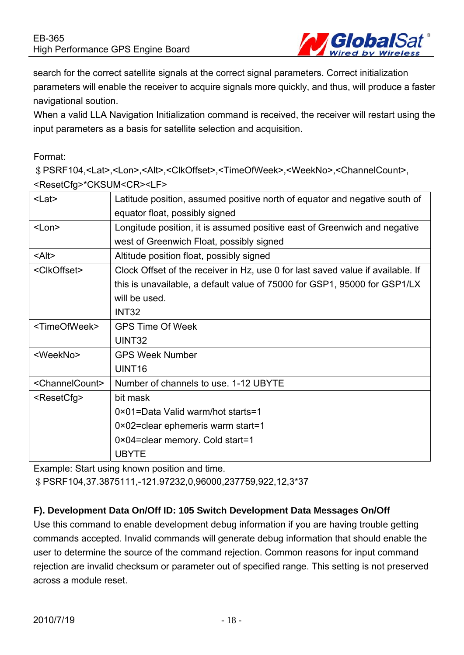

search for the correct satellite signals at the correct signal parameters. Correct initialization parameters will enable the receiver to acquire signals more quickly, and thus, will produce a faster navigational soution.

When a valid LLA Navigation Initialization command is received, the receiver will restart using the input parameters as a basis for satellite selection and acquisition.

#### Format:

\$PSRF104,<Lat>,<Lon>,<Alt>,<ClkOffset>,<TimeOfWeek>,<WeekNo>,<ChannelCount>, <ResetCfg>\*CKSUM<CR><LF>

| $<$ Lat $>$                   | Latitude position, assumed positive north of equator and negative south of      |  |
|-------------------------------|---------------------------------------------------------------------------------|--|
|                               | equator float, possibly signed                                                  |  |
| $<$ Lon $>$                   | Longitude position, it is assumed positive east of Greenwich and negative       |  |
|                               | west of Greenwich Float, possibly signed                                        |  |
| $<$ Alt $>$                   | Altitude position float, possibly signed                                        |  |
| <clkoffset></clkoffset>       | Clock Offset of the receiver in Hz, use 0 for last saved value if available. If |  |
|                               | this is unavailable, a default value of 75000 for GSP1, 95000 for GSP1/LX       |  |
|                               | will be used.                                                                   |  |
|                               | INT <sub>32</sub>                                                               |  |
| <timeofweek></timeofweek>     | <b>GPS Time Of Week</b>                                                         |  |
|                               | UINT32                                                                          |  |
| <weekno></weekno>             | <b>GPS Week Number</b>                                                          |  |
|                               | UINT <sub>16</sub>                                                              |  |
| <channelcount></channelcount> | Number of channels to use. 1-12 UBYTE                                           |  |
| <resetcfg></resetcfg>         | bit mask                                                                        |  |
|                               | 0×01=Data Valid warm/hot starts=1                                               |  |
|                               | $0 \times 02$ = clear ephemeris warm start = 1                                  |  |
|                               | 0×04=clear memory. Cold start=1                                                 |  |
|                               | <b>UBYTE</b>                                                                    |  |

Example: Start using known position and time.

\$PSRF104,37.3875111,-121.97232,0,96000,237759,922,12,3\*37

#### **F). Development Data On/Off ID: 105 Switch Development Data Messages On/Off**

Use this command to enable development debug information if you are having trouble getting commands accepted. Invalid commands will generate debug information that should enable the user to determine the source of the command rejection. Common reasons for input command rejection are invalid checksum or parameter out of specified range. This setting is not preserved across a module reset.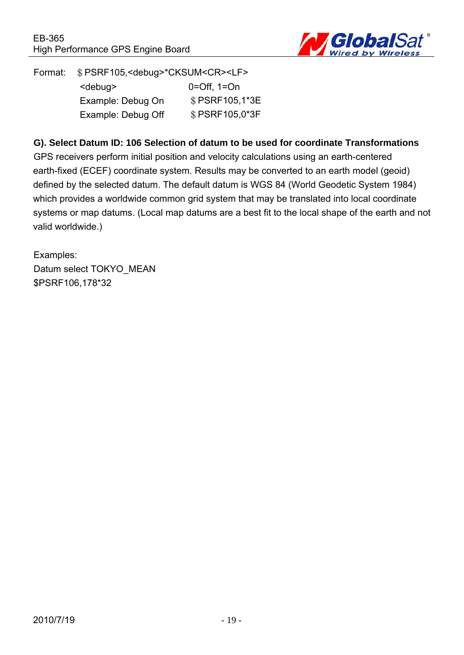

Format: \$PSRF105,<debug>\*CKSUM<CR><LF> <debug> 0=Off, 1=On Example: Debug On \$PSRF105,1\*3E Example: Debug Off  $$PSRF105,0^*3F$ 

#### **G). Select Datum ID: 106 Selection of datum to be used for coordinate Transformations**

GPS receivers perform initial position and velocity calculations using an earth-centered earth-fixed (ECEF) coordinate system. Results may be converted to an earth model (geoid) defined by the selected datum. The default datum is WGS 84 (World Geodetic System 1984) which provides a worldwide common grid system that may be translated into local coordinate systems or map datums. (Local map datums are a best fit to the local shape of the earth and not valid worldwide.)

Examples: Datum select TOKYO\_MEAN \$PSRF106,178\*32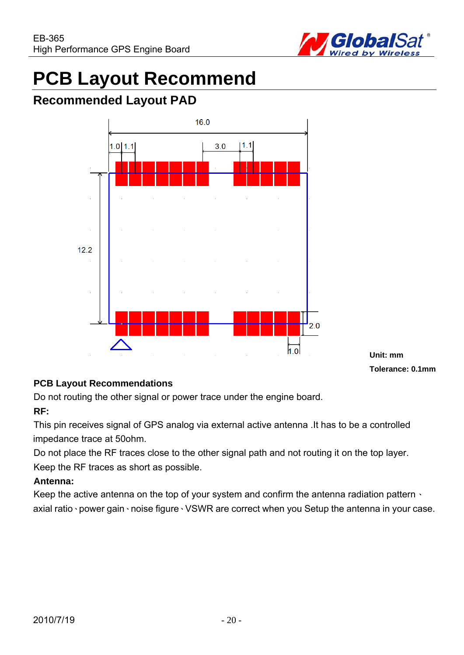

# **PCB Layout Recommend**

## **Recommended Layout PAD**



**Unit: mm Tolerance: 0.1mm**

#### **PCB Layout Recommendations**

Do not routing the other signal or power trace under the engine board.

#### **RF:**

This pin receives signal of GPS analog via external active antenna .It has to be a controlled impedance trace at 50ohm.

Do not place the RF traces close to the other signal path and not routing it on the top layer. Keep the RF traces as short as possible.

#### **Antenna:**

Keep the active antenna on the top of your system and confirm the antenna radiation pattern  $\cdot$ axial ratio、power gain、noise figure、VSWR are correct when you Setup the antenna in your case.